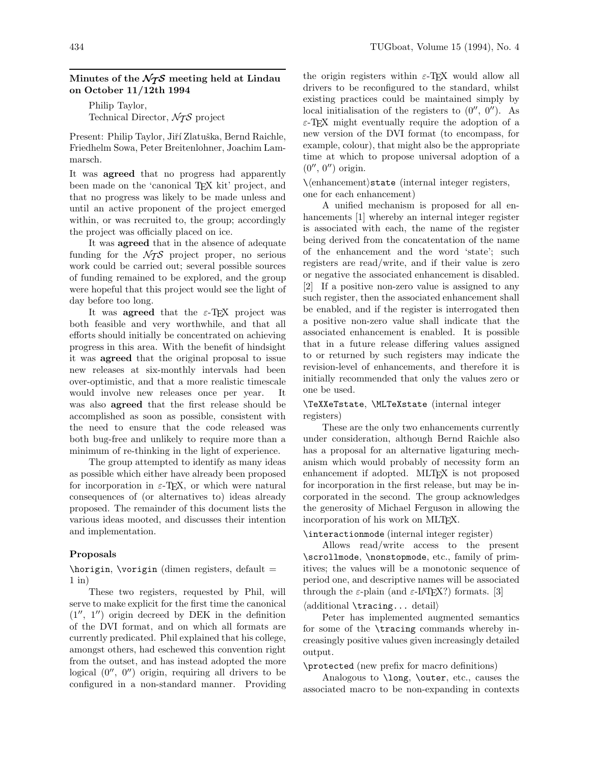# **Minutes of the** *NTS* **meeting held at Lindau on October 11/12th 1994**

Philip Taylor, Technical Director,  $\mathcal{N} \mathcal{T} \mathcal{S}$  project

Present: Philip Taylor, Jiří Zlatuška, Bernd Raichle, Friedhelm Sowa, Peter Breitenlohner, Joachim Lammarsch.

It was **agreed** that no progress had apparently been made on the 'canonical T<sub>EX</sub> kit' project, and that no progress was likely to be made unless and until an active proponent of the project emerged within, or was recruited to, the group; accordingly the project was officially placed on ice.

It was **agreed** that in the absence of adequate funding for the  $\mathcal{N}$  project proper, no serious work could be carried out; several possible sources of funding remained to be explored, and the group were hopeful that this project would see the light of day before too long.

It was **agreed** that the  $\varepsilon$ -T<sub>E</sub>X project was both feasible and very worthwhile, and that all efforts should initially be concentrated on achieving progress in this area. With the benefit of hindsight it was **agreed** that the original proposal to issue new releases at six-monthly intervals had been over-optimistic, and that a more realistic timescale would involve new releases once per year. It was also **agreed** that the first release should be accomplished as soon as possible, consistent with the need to ensure that the code released was both bug-free and unlikely to require more than a minimum of re-thinking in the light of experience.

The group attempted to identify as many ideas as possible which either have already been proposed for incorporation in  $\varepsilon$ -T<sub>E</sub>X, or which were natural consequences of (or alternatives to) ideas already proposed. The remainder of this document lists the various ideas mooted, and discusses their intention and implementation.

### **Proposals**

 $\hbox{horigin}, \v{origin}$  (dimen registers, default = 1 in)

These two registers, requested by Phil, will serve to make explicit for the first time the canonical  $(1'', 1'')$  origin decreed by DEK in the definition of the DVI format, and on which all formats are currently predicated. Phil explained that his college, amongst others, had eschewed this convention right from the outset, and has instead adopted the more logical  $(0'', 0'')$  origin, requiring all drivers to be configured in a non-standard manner. Providing the origin registers within  $\varepsilon$ -TFX would allow all drivers to be reconfigured to the standard, whilst existing practices could be maintained simply by local initialisation of the registers to  $(0'', 0'')$ . As  $\varepsilon$ -T<sub>EX</sub> might eventually require the adoption of a new version of the DVI format (to encompass, for example, colour), that might also be the appropriate time at which to propose universal adoption of a  $(0'', 0'')$  origin.

 $\Lambda$ enhancement $\star$ state (internal integer registers, one for each enhancement)

A unified mechanism is proposed for all enhancements [1] whereby an internal integer register is associated with each, the name of the register being derived from the concatentation of the name of the enhancement and the word 'state'; such registers are read/write, and if their value is zero or negative the associated enhancement is disabled. [2] If a positive non-zero value is assigned to any such register, then the associated enhancement shall be enabled, and if the register is interrogated then a positive non-zero value shall indicate that the associated enhancement is enabled. It is possible that in a future release differing values assigned to or returned by such registers may indicate the revision-level of enhancements, and therefore it is initially recommended that only the values zero or one be used.

\TeXXeTstate, \MLTeXstate (internal integer registers)

These are the only two enhancements currently under consideration, although Bernd Raichle also has a proposal for an alternative ligaturing mechanism which would probably of necessity form an enhancement if adopted. MLTEX is not proposed for incorporation in the first release, but may be incorporated in the second. The group acknowledges the generosity of Michael Ferguson in allowing the incorporation of his work on MLTEX.

\interactionmode (internal integer register)

Allows read/write access to the present \scrollmode, \nonstopmode, etc., family of primitives; the values will be a monotonic sequence of period one, and descriptive names will be associated through the  $\varepsilon$ -plain (and  $\varepsilon$ -LAT<sub>E</sub>X?) formats. [3]

 $\langle$ additional  $\tau$ ... detail $\rangle$ 

Peter has implemented augmented semantics for some of the \tracing commands whereby increasingly positive values given increasingly detailed output.

\protected (new prefix for macro definitions)

Analogous to \long, \outer, etc., causes the associated macro to be non-expanding in contexts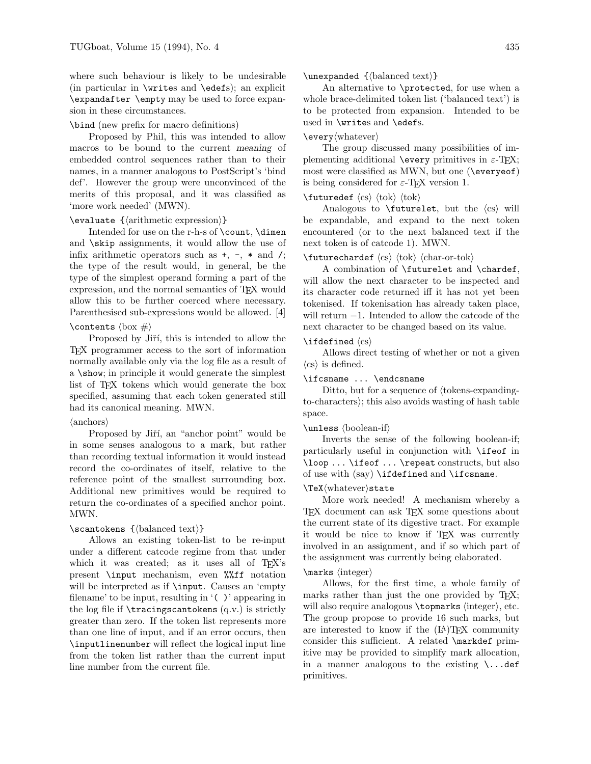where such behaviour is likely to be undesirable (in particular in \writes and \edefs); an explicit \expandafter \empty may be used to force expansion in these circumstances.

#### \bind (new prefix for macro definitions)

Proposed by Phil, this was intended to allow macros to be bound to the current *meaning* of embedded control sequences rather than to their names, in a manner analogous to PostScript's 'bind def'. However the group were unconvinced of the merits of this proposal, and it was classified as 'more work needed' (MWN).

# $\text{evaluate } {\text{arithmetic expression}}$

Intended for use on the r-h-s of \count, \dimen and \skip assignments, it would allow the use of infix arithmetic operators such as  $+$ ,  $-$ ,  $*$  and  $/$ ; the type of the result would, in general, be the type of the simplest operand forming a part of the expression, and the normal semantics of TEX would allow this to be further coerced where necessary. Parenthesised sub-expressions would be allowed. [4]

### \contents  $\langle$ box  $\#$ }

Proposed by Jiří, this is intended to allow the TEX programmer access to the sort of information normally available only via the log file as a result of a \show; in principle it would generate the simplest list of TEX tokens which would generate the box specified, assuming that each token generated still had its canonical meaning. MWN.

#### $\langle$  anchors $\rangle$

Proposed by Jiří, an "anchor point" would be in some senses analogous to a mark, but rather than recording textual information it would instead record the co-ordinates of itself, relative to the reference point of the smallest surrounding box. Additional new primitives would be required to return the co-ordinates of a specified anchor point. MWN.

### $\sc$  \scantokens  ${\delta \cal}$  {\balanced text}}

Allows an existing token-list to be re-input under a different catcode regime from that under which it was created; as it uses all of TEX's present \input mechanism, even %%ff notation will be interpreted as if \input. Causes an 'empty filename' to be input, resulting in  $'()$  appearing in the log file if  $\tau$  is strictly greater than zero. If the token list represents more than one line of input, and if an error occurs, then \inputlinenumber will reflect the logical input line from the token list rather than the current input line number from the current file.

 $\un{standard } {\delta}$ 

An alternative to \protected, for use when a whole brace-delimited token list ('balanced text') is to be protected from expansion. Intended to be used in \writes and \edefs.

## $\text{every}\langle \text{whatever} \rangle$

The group discussed many possibilities of implementing additional **\every** primitives in  $\varepsilon$ -T<sub>E</sub>X; most were classified as MWN, but one (\everyeof) is being considered for  $\varepsilon$ -T<sub>EX</sub> version 1.

### $\{\text{tuk}\ \text{tok}\ \text{tok}\ \text{tok}\}$

Analogous to **\futurelet**, but the  $\langle cs \rangle$  will be expandable, and expand to the next token encountered (or to the next balanced text if the next token is of catcode 1). MWN.

## $\text{futurechardef} \langle cs \rangle \langle tok \rangle \langle char-or-tok \rangle$

A combination of \futurelet and \chardef, will allow the next character to be inspected and its character code returned iff it has not yet been tokenised. If tokenisation has already taken place, will return −1. Intended to allow the catcode of the next character to be changed based on its value.

## $\left\langle \text{cfined }\langle \text{cs} \rangle \right\rangle$

Allows direct testing of whether or not a given  $\langle cs \rangle$  is defined.

#### \ifcsname ... \endcsname

Ditto, but for a sequence of  $\langle$  tokens-expandingto-characters); this also avoids wasting of hash table space.

#### $\mathcal{S}$  (boolean-if)

Inverts the sense of the following boolean-if; particularly useful in conjunction with \ifeof in \loop ... \ifeof ... \repeat constructs, but also of use with (say) \ifdefined and \ifcsname.

#### \TeX(whatever)state

More work needed! A mechanism whereby a TEX document can ask TEX some questions about the current state of its digestive tract. For example it would be nice to know if T<sub>EX</sub> was currently involved in an assignment, and if so which part of the assignment was currently being elaborated.

## $\langle$ marks  $\langle$ integer $\rangle$

Allows, for the first time, a whole family of marks rather than just the one provided by T<sub>F</sub>X; will also require analogous  $\to$  will also require analogous  $\to$  spanned integer, etc. The group propose to provide 16 such marks, but are interested to know if the (LA)TEX community consider this sufficient. A related \markdef primitive may be provided to simplify mark allocation, in a manner analogous to the existing  $\ldots$  def primitives.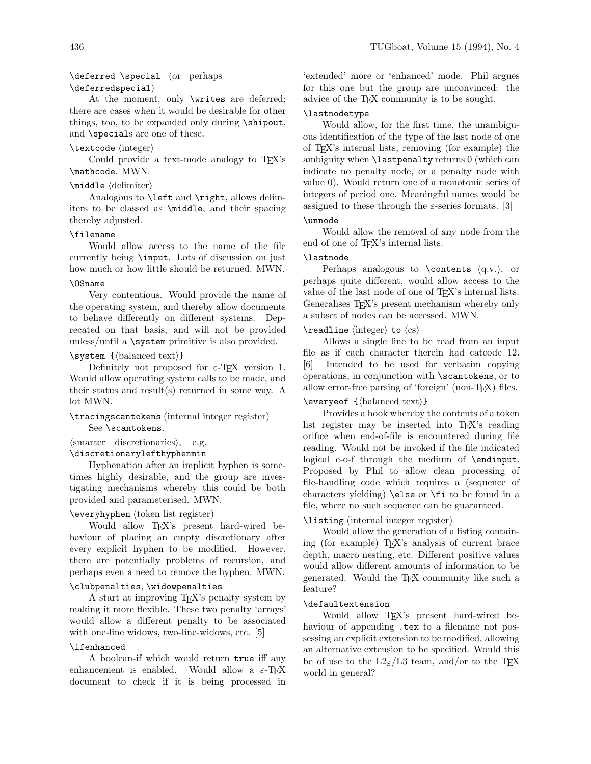### \deferred \special (or perhaps \deferredspecial)

At the moment, only **\writes** are deferred; there are cases when it would be desirable for other things, too, to be expanded only during \shipout, and \specials are one of these.

# $\text{textcode}$  (integer)

Could provide a text-mode analogy to T<sub>E</sub>X's \mathcode. MWN.

# $\mathcal{A}$ le (delimiter)

Analogous to \left and \right, allows delimiters to be classed as \middle, and their spacing thereby adjusted.

## \filename

Would allow access to the name of the file currently being \input. Lots of discussion on just how much or how little should be returned. MWN.

#### \OSname

Very contentious. Would provide the name of the operating system, and thereby allow documents to behave differently on different systems. Deprecated on that basis, and will not be provided unless/until a \system primitive is also provided.

#### \system  ${\delta \cal}$  {\balanced text}}

Definitely not proposed for  $\varepsilon$ -T<sub>EX</sub> version 1. Would allow operating system calls to be made, and their status and result(s) returned in some way. A lot MWN.

# \tracingscantokens (internal integer register) See \scantokens.

 $\langle$ smarter discretionaries $\rangle$ , e.g.

# \discretionarylefthyphenmin

Hyphenation after an implicit hyphen is sometimes highly desirable, and the group are investigating mechanisms whereby this could be both provided and parameterised. MWN.

## \everyhyphen (token list register)

Would allow TEX's present hard-wired behaviour of placing an empty discretionary after every explicit hyphen to be modified. However, there are potentially problems of recursion, and perhaps even a need to remove the hyphen. MWN.

# \clubpenalties, \widowpenalties

A start at improving TEX's penalty system by making it more flexible. These two penalty 'arrays' would allow a different penalty to be associated with one-line widows, two-line-widows, etc. [5]

## \ifenhanced

A boolean-if which would return true iff any enhancement is enabled. Would allow a  $\varepsilon$ -TEX document to check if it is being processed in

'extended' more or 'enhanced' mode. Phil argues for this one but the group are unconvinced: the advice of the T<sub>EX</sub> community is to be sought.

#### \lastnodetype

Would allow, for the first time, the unambiguous identification of the type of the last node of one of TEX's internal lists, removing (for example) the ambiguity when \lastpenalty returns 0 (which can indicate no penalty node, or a penalty node with value 0). Would return one of a monotonic series of integers of period one. Meaningful names would be assigned to these through the  $\varepsilon$ -series formats. [3]

## \unnode

Would allow the removal of *any* node from the end of one of TEX's internal lists.

#### \lastnode

Perhaps analogous to \contents (q.v.), or perhaps quite different, would allow access to the value of the last node of one of TEX's internal lists. Generalises TEX's present mechanism whereby only a subset of nodes can be accessed. MWN.

# $\text{t}_\text{integer}$  to  $\langle \text{cs} \rangle$

Allows a single line to be read from an input file as if each character therein had catcode 12. [6] Intended to be used for verbatim copying operations, in conjunction with \scantokens, or to allow error-free parsing of 'foreign' (non-TEX) files.

# $\text{everyes f } \{ \text{balanced text} \}$

Provides a hook whereby the contents of a token list register may be inserted into T<sub>EX</sub>'s reading orifice when end-of-file is encountered during file reading. Would not be invoked if the file indicated logical e-o-f through the medium of \endinput. Proposed by Phil to allow clean processing of file-handling code which requires a (sequence of characters yielding) \else or \fi to be found in a file, where no such sequence can be guaranteed.

### \listing (internal integer register)

Would allow the generation of a listing containing (for example) TEX's analysis of current brace depth, macro nesting, etc. Different positive values would allow different amounts of information to be generated. Would the TEX community like such a feature?

### \defaultextension

Would allow TEX's present hard-wired behaviour of appending .tex to a filename not possessing an explicit extension to be modified, allowing an alternative extension to be specified. Would this be of use to the  $L2_{\epsilon}/L3$  team, and/or to the T<sub>F</sub>X world in general?